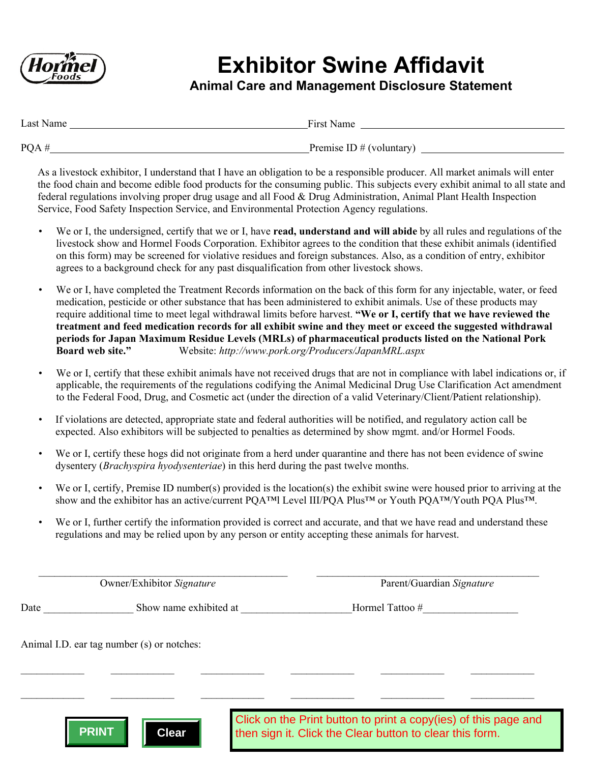

## **Exhibitor Swine Affidavit**

## **Animal Care and Management Disclosure Statement**

| Last Name | First Name                 |
|-----------|----------------------------|
| PQA#      | Premise ID $#$ (voluntary) |

As a livestock exhibitor, I understand that I have an obligation to be a responsible producer. All market animals will enter the food chain and become edible food products for the consuming public. This subjects every exhibit animal to all state and federal regulations involving proper drug usage and all Food & Drug Administration, Animal Plant Health Inspection Service, Food Safety Inspection Service, and Environmental Protection Agency regulations.

- We or I, the undersigned, certify that we or I, have **read, understand and will abide** by all rules and regulations of the livestock show and Hormel Foods Corporation. Exhibitor agrees to the condition that these exhibit animals (identified on this form) may be screened for violative residues and foreign substances. Also, as a condition of entry, exhibitor agrees to a background check for any past disqualification from other livestock shows.
- We or I, have completed the Treatment Records information on the back of this form for any injectable, water, or feed medication, pesticide or other substance that has been administered to exhibit animals. Use of these products may require additional time to meet legal withdrawal limits before harvest. **"We or I, certify that we have reviewed the treatment and feed medication records for all exhibit swine and they meet or exceed the suggested withdrawal periods for Japan Maximum Residue Levels (MRLs) of pharmaceutical products listed on the National Pork Board web site."** Website: *http://www.pork.org/Producers/JapanMRL.aspx*
- We or I, certify that these exhibit animals have not received drugs that are not in compliance with label indications or, if applicable, the requirements of the regulations codifying the Animal Medicinal Drug Use Clarification Act amendment to the Federal Food, Drug, and Cosmetic act (under the direction of a valid Veterinary/Client/Patient relationship).
- If violations are detected, appropriate state and federal authorities will be notified, and regulatory action call be expected. Also exhibitors will be subjected to penalties as determined by show mgmt. and/or Hormel Foods.
- We or I, certify these hogs did not originate from a herd under quarantine and there has not been evidence of swine dysentery (*Brachyspira hyodysenteriae*) in this herd during the past twelve months.
- We or I, certify, Premise ID number(s) provided is the location(s) the exhibit swine were housed prior to arriving at the show and the exhibitor has an active/current POA™I Level III/POA Plus™ or Youth POA™/Youth POA Plus™.
- We or I, further certify the information provided is correct and accurate, and that we have read and understand these regulations and may be relied upon by any person or entity accepting these animals for harvest.

 $\mathcal{L}_\mathcal{L} = \{ \mathcal{L}_\mathcal{L} = \{ \mathcal{L}_\mathcal{L} = \{ \mathcal{L}_\mathcal{L} = \{ \mathcal{L}_\mathcal{L} = \{ \mathcal{L}_\mathcal{L} = \{ \mathcal{L}_\mathcal{L} = \{ \mathcal{L}_\mathcal{L} = \{ \mathcal{L}_\mathcal{L} = \{ \mathcal{L}_\mathcal{L} = \{ \mathcal{L}_\mathcal{L} = \{ \mathcal{L}_\mathcal{L} = \{ \mathcal{L}_\mathcal{L} = \{ \mathcal{L}_\mathcal{L} = \{ \mathcal{L}_\mathcal{$ 

 $\mathcal{L}_\mathcal{L} = \{ \mathcal{L}_\mathcal{L} = \{ \mathcal{L}_\mathcal{L} = \{ \mathcal{L}_\mathcal{L} = \{ \mathcal{L}_\mathcal{L} = \{ \mathcal{L}_\mathcal{L} = \{ \mathcal{L}_\mathcal{L} = \{ \mathcal{L}_\mathcal{L} = \{ \mathcal{L}_\mathcal{L} = \{ \mathcal{L}_\mathcal{L} = \{ \mathcal{L}_\mathcal{L} = \{ \mathcal{L}_\mathcal{L} = \{ \mathcal{L}_\mathcal{L} = \{ \mathcal{L}_\mathcal{L} = \{ \mathcal{L}_\mathcal{$ 

 $\mathcal{L}_\mathcal{L} = \mathcal{L}_\mathcal{L} = \mathcal{L}_\mathcal{L} = \mathcal{L}_\mathcal{L} = \mathcal{L}_\mathcal{L} = \mathcal{L}_\mathcal{L} = \mathcal{L}_\mathcal{L} = \mathcal{L}_\mathcal{L} = \mathcal{L}_\mathcal{L} = \mathcal{L}_\mathcal{L} = \mathcal{L}_\mathcal{L} = \mathcal{L}_\mathcal{L} = \mathcal{L}_\mathcal{L} = \mathcal{L}_\mathcal{L} = \mathcal{L}_\mathcal{L} = \mathcal{L}_\mathcal{L} = \mathcal{L}_\mathcal{L}$ Owner/Exhibitor *Signature* Parent/Guardian *Signature* 

Date Show name exhibited at Hormel Tattoo #

Animal I.D. ear tag number (s) or notches:



Click on the Print button to print a copy(ies) of this page and then sign it. Click the Clear button to clear this form.